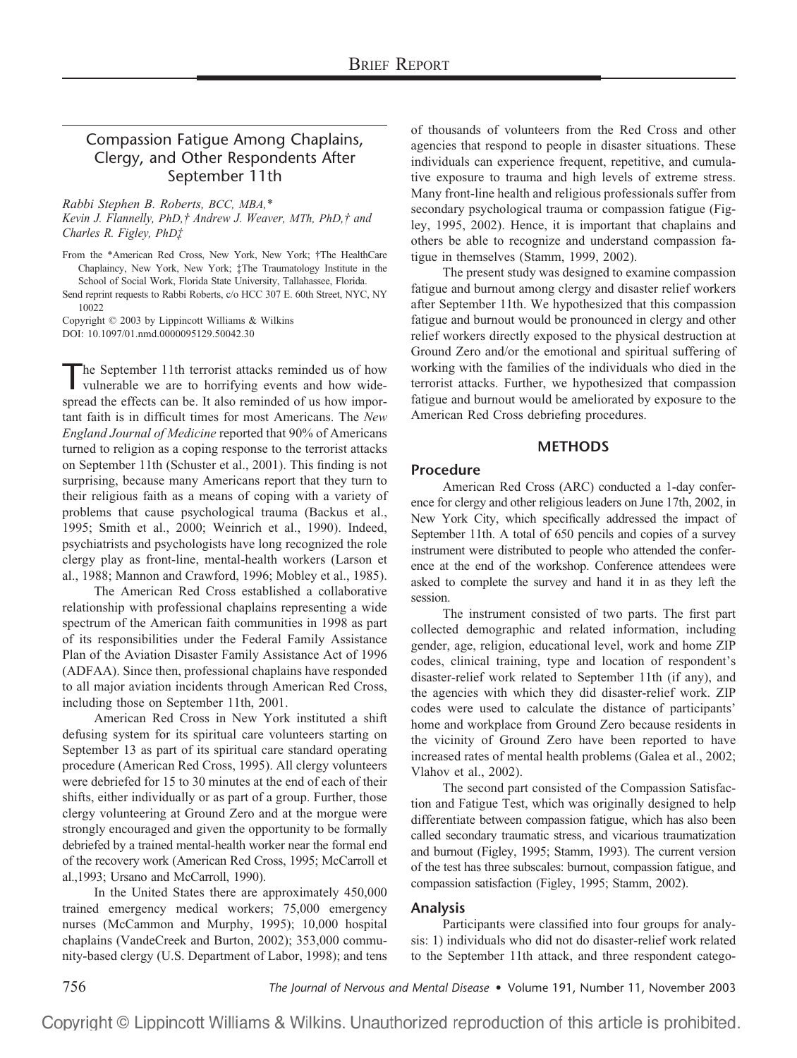# Compassion Fatigue Among Chaplains, Clergy, and Other Respondents After September 11th

*Rabbi Stephen B. Roberts, BCC, MBA,\**

*Kevin J. Flannelly, PhD,† Andrew J. Weaver, MTh, PhD,† and Charles R. Figley, PhD‡*

From the \*American Red Cross, New York, New York; †The HealthCare Chaplaincy, New York, New York; ‡The Traumatology Institute in the School of Social Work, Florida State University, Tallahassee, Florida.

Send reprint requests to Rabbi Roberts, c/o HCC 307 E. 60th Street, NYC, NY 10022

Copyright © 2003 by Lippincott Williams & Wilkins DOI: 10.1097/01.nmd.0000095129.50042.30

he September 11th terrorist attacks reminded us of how vulnerable we are to horrifying events and how widespread the effects can be. It also reminded of us how important faith is in difficult times for most Americans. The *New England Journal of Medicine* reported that 90% of Americans turned to religion as a coping response to the terrorist attacks on September 11th (Schuster et al., 2001). This finding is not surprising, because many Americans report that they turn to their religious faith as a means of coping with a variety of problems that cause psychological trauma (Backus et al., 1995; Smith et al., 2000; Weinrich et al., 1990). Indeed, psychiatrists and psychologists have long recognized the role clergy play as front-line, mental-health workers (Larson et al., 1988; Mannon and Crawford, 1996; Mobley et al., 1985).

The American Red Cross established a collaborative relationship with professional chaplains representing a wide spectrum of the American faith communities in 1998 as part of its responsibilities under the Federal Family Assistance Plan of the Aviation Disaster Family Assistance Act of 1996 (ADFAA). Since then, professional chaplains have responded to all major aviation incidents through American Red Cross, including those on September 11th, 2001.

American Red Cross in New York instituted a shift defusing system for its spiritual care volunteers starting on September 13 as part of its spiritual care standard operating procedure (American Red Cross, 1995). All clergy volunteers were debriefed for 15 to 30 minutes at the end of each of their shifts, either individually or as part of a group. Further, those clergy volunteering at Ground Zero and at the morgue were strongly encouraged and given the opportunity to be formally debriefed by a trained mental-health worker near the formal end of the recovery work (American Red Cross, 1995; McCarroll et al.,1993; Ursano and McCarroll, 1990).

In the United States there are approximately 450,000 trained emergency medical workers; 75,000 emergency nurses (McCammon and Murphy, 1995); 10,000 hospital chaplains (VandeCreek and Burton, 2002); 353,000 community-based clergy (U.S. Department of Labor, 1998); and tens of thousands of volunteers from the Red Cross and other agencies that respond to people in disaster situations. These individuals can experience frequent, repetitive, and cumulative exposure to trauma and high levels of extreme stress. Many front-line health and religious professionals suffer from secondary psychological trauma or compassion fatigue (Figley, 1995, 2002). Hence, it is important that chaplains and others be able to recognize and understand compassion fatigue in themselves (Stamm, 1999, 2002).

The present study was designed to examine compassion fatigue and burnout among clergy and disaster relief workers after September 11th. We hypothesized that this compassion fatigue and burnout would be pronounced in clergy and other relief workers directly exposed to the physical destruction at Ground Zero and/or the emotional and spiritual suffering of working with the families of the individuals who died in the terrorist attacks. Further, we hypothesized that compassion fatigue and burnout would be ameliorated by exposure to the American Red Cross debriefing procedures.

## **METHODS**

## **Procedure**

American Red Cross (ARC) conducted a 1-day conference for clergy and other religious leaders on June 17th, 2002, in New York City, which specifically addressed the impact of September 11th. A total of 650 pencils and copies of a survey instrument were distributed to people who attended the conference at the end of the workshop. Conference attendees were asked to complete the survey and hand it in as they left the session.

The instrument consisted of two parts. The first part collected demographic and related information, including gender, age, religion, educational level, work and home ZIP codes, clinical training, type and location of respondent's disaster-relief work related to September 11th (if any), and the agencies with which they did disaster-relief work. ZIP codes were used to calculate the distance of participants' home and workplace from Ground Zero because residents in the vicinity of Ground Zero have been reported to have increased rates of mental health problems (Galea et al., 2002; Vlahov et al., 2002).

The second part consisted of the Compassion Satisfaction and Fatigue Test, which was originally designed to help differentiate between compassion fatigue, which has also been called secondary traumatic stress, and vicarious traumatization and burnout (Figley, 1995; Stamm, 1993). The current version of the test has three subscales: burnout, compassion fatigue, and compassion satisfaction (Figley, 1995; Stamm, 2002).

## **Analysis**

Participants were classified into four groups for analysis: 1) individuals who did not do disaster-relief work related to the September 11th attack, and three respondent catego-

756 *The Journal of Nervous and Mental Disease* • Volume 191, Number 11, November 2003

Copyright © Lippincott Williams & Wilkins. Unauthorized reproduction of this article is prohibited.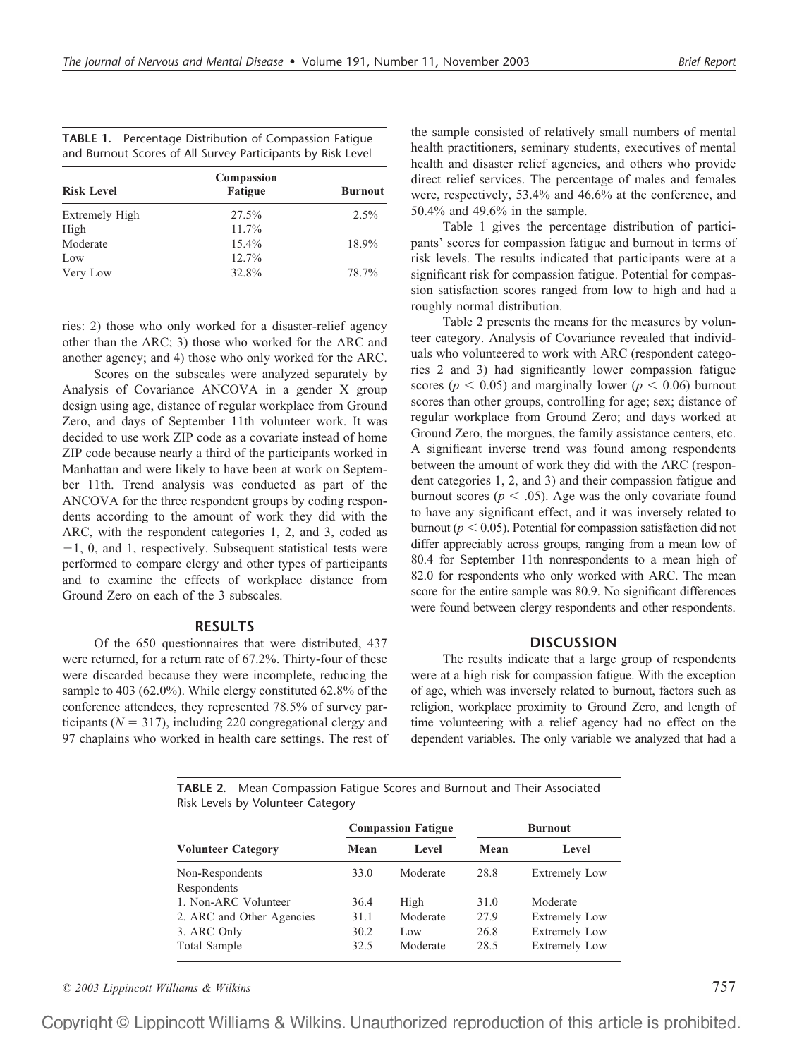| <b>TABLE 1.</b> Percentage Distribution of Compassion Fatigue |
|---------------------------------------------------------------|
| and Burnout Scores of All Survey Participants by Risk Level   |

| <b>Risk Level</b> | Compassion<br><b>Fatigue</b> | <b>Burnout</b> |  |
|-------------------|------------------------------|----------------|--|
| Extremely High    | 27.5%                        | $2.5\%$        |  |
| High              | 11.7%                        |                |  |
| Moderate          | $15.4\%$                     | 18.9%          |  |
| Low               | $12.7\%$                     |                |  |
| Very Low          | 32.8%                        | 78.7%          |  |

ries: 2) those who only worked for a disaster-relief agency other than the ARC; 3) those who worked for the ARC and another agency; and 4) those who only worked for the ARC.

Scores on the subscales were analyzed separately by Analysis of Covariance ANCOVA in a gender X group design using age, distance of regular workplace from Ground Zero, and days of September 11th volunteer work. It was decided to use work ZIP code as a covariate instead of home ZIP code because nearly a third of the participants worked in Manhattan and were likely to have been at work on September 11th. Trend analysis was conducted as part of the ANCOVA for the three respondent groups by coding respondents according to the amount of work they did with the ARC, with the respondent categories 1, 2, and 3, coded as  $-1$ , 0, and 1, respectively. Subsequent statistical tests were performed to compare clergy and other types of participants and to examine the effects of workplace distance from Ground Zero on each of the 3 subscales.

### **RESULTS**

Of the 650 questionnaires that were distributed, 437 were returned, for a return rate of 67.2%. Thirty-four of these were discarded because they were incomplete, reducing the sample to 403 (62.0%). While clergy constituted 62.8% of the conference attendees, they represented 78.5% of survey participants ( $N = 317$ ), including 220 congregational clergy and 97 chaplains who worked in health care settings. The rest of

the sample consisted of relatively small numbers of mental health practitioners, seminary students, executives of mental health and disaster relief agencies, and others who provide direct relief services. The percentage of males and females were, respectively, 53.4% and 46.6% at the conference, and 50.4% and 49.6% in the sample.

Table 1 gives the percentage distribution of participants' scores for compassion fatigue and burnout in terms of risk levels. The results indicated that participants were at a significant risk for compassion fatigue. Potential for compassion satisfaction scores ranged from low to high and had a roughly normal distribution.

Table 2 presents the means for the measures by volunteer category. Analysis of Covariance revealed that individuals who volunteered to work with ARC (respondent categories 2 and 3) had significantly lower compassion fatigue scores ( $p < 0.05$ ) and marginally lower ( $p < 0.06$ ) burnout scores than other groups, controlling for age; sex; distance of regular workplace from Ground Zero; and days worked at Ground Zero, the morgues, the family assistance centers, etc. A significant inverse trend was found among respondents between the amount of work they did with the ARC (respondent categories 1, 2, and 3) and their compassion fatigue and burnout scores ( $p < .05$ ). Age was the only covariate found to have any significant effect, and it was inversely related to burnout ( $p < 0.05$ ). Potential for compassion satisfaction did not differ appreciably across groups, ranging from a mean low of 80.4 for September 11th nonrespondents to a mean high of 82.0 for respondents who only worked with ARC. The mean score for the entire sample was 80.9. No significant differences were found between clergy respondents and other respondents.

#### **DISCUSSION**

The results indicate that a large group of respondents were at a high risk for compassion fatigue. With the exception of age, which was inversely related to burnout, factors such as religion, workplace proximity to Ground Zero, and length of time volunteering with a relief agency had no effect on the dependent variables. The only variable we analyzed that had a

**TABLE 2.** Mean Compassion Fatigue Scores and Burnout and Their Associated Risk Levels by Volunteer Category

|                           | <b>Compassion Fatigue</b> |          | <b>Burnout</b> |                      |
|---------------------------|---------------------------|----------|----------------|----------------------|
| <b>Volunteer Category</b> | Mean                      | Level    | Mean           | Level                |
| Non-Respondents           | 33.0                      | Moderate | 28.8           | <b>Extremely Low</b> |
| Respondents               |                           |          |                |                      |
| 1. Non-ARC Volunteer      | 36.4                      | High     | 31.0           | Moderate             |
| 2. ARC and Other Agencies | 31.1                      | Moderate | 27.9           | <b>Extremely Low</b> |
| 3. ARC Only               | 30.2                      | Low      | 26.8           | <b>Extremely Low</b> |
| Total Sample              | 32.5                      | Moderate | 28.5           | <b>Extremely Low</b> |

*© 2003 Lippincott Williams & Wilkins* 757

Copyright © Lippincott Williams & Wilkins. Unauthorized reproduction of this article is prohibited.